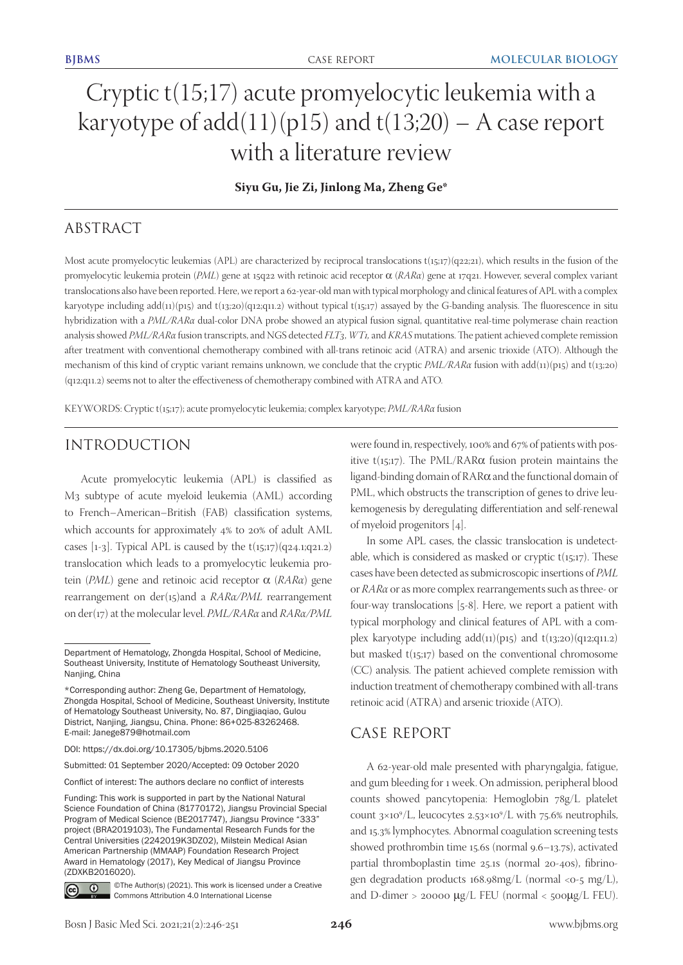# Cryptic t(15;17) acute promyelocytic leukemia with a karyotype of  $add(11)(p15)$  and  $t(13;20)$  – A case report with a literature review

**Siyu Gu, Jie Zi, Jinlong Ma, Zheng Ge\***

# ABSTRACT

Most acute promyelocytic leukemias (APL) are characterized by reciprocal translocations t(15;17)(q22;21), which results in the fusion of the promyelocytic leukemia protein (*PML*) gene at 15q22 with retinoic acid receptor α (*RARα*) gene at 17q21. However, several complex variant translocations also have been reported. Here, we report a 62-year-old man with typical morphology and clinical features of APL with a complex karyotype including add(11)(p15) and t(13;20)(q12;q11.2) without typical t(15;17) assayed by the G-banding analysis. The fluorescence in situ hybridization with a *PML/RARα* dual-color DNA probe showed an atypical fusion signal, quantitative real-time polymerase chain reaction analysis showed *PML/RARα* fusion transcripts, and NGS detected *FLT3*, *WT1,* and *KRAS* mutations. The patient achieved complete remission after treatment with conventional chemotherapy combined with all-trans retinoic acid (ATRA) and arsenic trioxide (ATO). Although the mechanism of this kind of cryptic variant remains unknown, we conclude that the cryptic *PML/RARα* fusion with add(11)(p15) and t(13;20) (q12;q11.2) seems not to alter the effectiveness of chemotherapy combined with ATRA and ATO.

KEYWORDS: Cryptic t(15;17); acute promyelocytic leukemia; complex karyotype; *PML/RARα* fusion

## INTRODUCTION

Acute promyelocytic leukemia (APL) is classified as M3 subtype of acute myeloid leukemia (AML) according to French–American–British (FAB) classification systems, which accounts for approximately 4% to 20% of adult AML cases [1-3]. Typical APL is caused by the  $t(15;17)(q24.1;q21.2)$ translocation which leads to a promyelocytic leukemia protein (*PML*) gene and retinoic acid receptor α (*RARα*) gene rearrangement on der(15)and a *RARα/PML* rearrangement on der(17) at the molecular level. *PML/RARα* and *RARα/PML*

Submitted: 01 September 2020/Accepted: 09 October 2020

Conflict of interest: The authors declare no conflict of interests

Funding: This work is supported in part by the National Natural Science Foundation of China (81770172), Jiangsu Provincial Special Program of Medical Science (BE2017747), Jiangsu Province "333" project (BRA2019103), The Fundamental Research Funds for the Central Universities (2242019K3DZ02), Milstein Medical Asian American Partnership (MMAAP) Foundation Research Project Award in Hematology (2017), Key Medical of Jiangsu Province (ZDXKB2016020).



©The Author(s) (2021). This work is licensed under a Creative Commons Attribution 4.0 International License

were found in, respectively, 100% and 67% of patients with positive t(15;17). The PML/RAR $\alpha$  fusion protein maintains the ligand-binding domain of RARα and the functional domain of PML, which obstructs the transcription of genes to drive leukemogenesis by deregulating differentiation and self-renewal of myeloid progenitors [4].

In some APL cases, the classic translocation is undetectable, which is considered as masked or cryptic  $t(15;17)$ . These cases have been detected as submicroscopic insertions of *PML* or *RARα* or as more complex rearrangements such as three- or four-way translocations [5-8]. Here, we report a patient with typical morphology and clinical features of APL with a complex karyotype including  $add(11)(p15)$  and  $t(13;20)(q12;q11.2)$ but masked  $t(15;17)$  based on the conventional chromosome (CC) analysis. The patient achieved complete remission with induction treatment of chemotherapy combined with all-trans retinoic acid (ATRA) and arsenic trioxide (ATO).

### CASE REPORT

A 62-year-old male presented with pharyngalgia, fatigue, and gum bleeding for 1 week. On admission, peripheral blood counts showed pancytopenia: Hemoglobin 78g/L platelet count  $3\times10^9$ /L, leucocytes  $2.53\times10^9$ /L with 75.6% neutrophils, and 15.3% lymphocytes. Abnormal coagulation screening tests showed prothrombin time 15.6s (normal 9.6–13.7s), activated partial thromboplastin time 25.1s (normal 20-40s), fibrinogen degradation products 168.98mg/L (normal <0-5 mg/L), and D-dimer > 20000 μg/L FEU (normal < 500μg/L FEU).

Department of Hematology, Zhongda Hospital, School of Medicine, Southeast University, Institute of Hematology Southeast University, Nanjing, China

<sup>\*</sup>Corresponding author: Zheng Ge, Department of Hematology, Zhongda Hospital, School of Medicine, Southeast University, Institute of Hematology Southeast University, No. 87, Dingjiaqiao, Gulou District, Nanjing, Jiangsu, China. Phone: 86+025-83262468. E-mail: Janege879@hotmail.com

DOI: https://dx.doi.org/10.17305/bjbms.2020.5106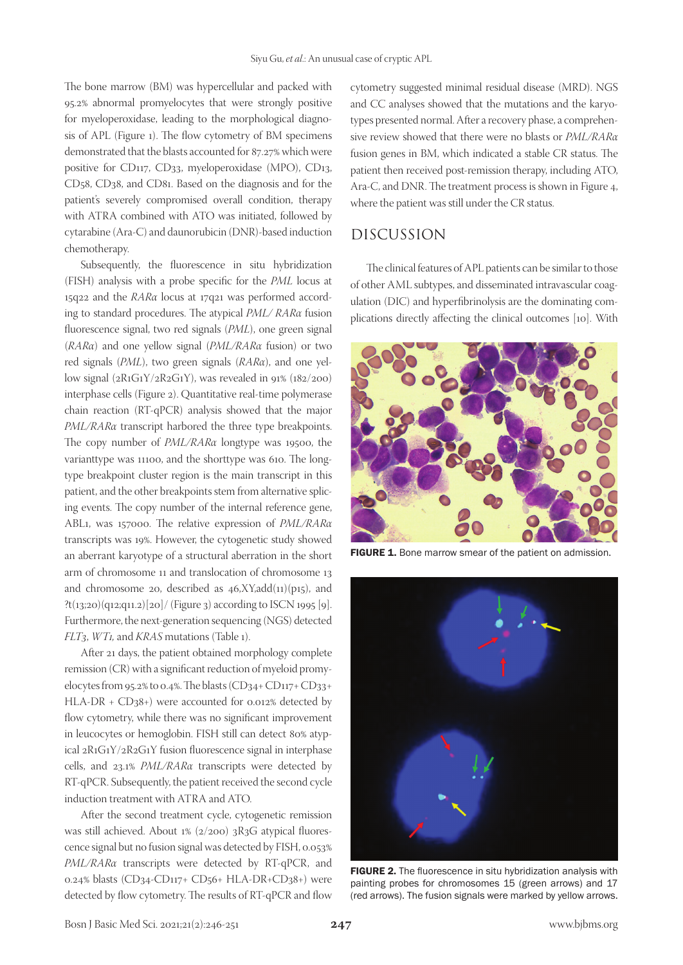The bone marrow (BM) was hypercellular and packed with 95.2% abnormal promyelocytes that were strongly positive for myeloperoxidase, leading to the morphological diagnosis of APL (Figure 1). The flow cytometry of BM specimens demonstrated that the blasts accounted for 87.27% which were positive for CD117, CD33, myeloperoxidase (MPO), CD13, CD58, CD38, and CD81. Based on the diagnosis and for the patient's severely compromised overall condition, therapy with ATRA combined with ATO was initiated, followed by cytarabine (Ara-C) and daunorubicin (DNR)-based induction chemotherapy.

Subsequently, the fluorescence in situ hybridization (FISH) analysis with a probe specific for the *PML* locus at 15q22 and the *RARα* locus at 17q21 was performed according to standard procedures. The atypical *PML/ RARα* fusion fluorescence signal, two red signals (*PML*), one green signal (*RARα*) and one yellow signal (*PML/RARα* fusion) or two red signals (*PML*), two green signals (*RARα*), and one yellow signal (2R1G1Y/2R2G1Y), was revealed in 91% (182/200) interphase cells (Figure 2). Quantitative real-time polymerase chain reaction (RT-qPCR) analysis showed that the major *PML/RARα* transcript harbored the three type breakpoints. The copy number of *PML/RARα* longtype was 19500, the varianttype was 11100, and the shorttype was 610. The longtype breakpoint cluster region is the main transcript in this patient, and the other breakpoints stem from alternative splicing events. The copy number of the internal reference gene, ABL1, was 157000. The relative expression of *PML/RARα* transcripts was 19%. However, the cytogenetic study showed an aberrant karyotype of a structural aberration in the short arm of chromosome 11 and translocation of chromosome 13 and chromosome 20, described as  $46, XY, add(11)(p15)$ , and ?t(13;20)(q12;q11.2)[20]/ (Figure 3) according to ISCN 1995 [9]. Furthermore, the next-generation sequencing (NGS) detected *FLT3*, *WT1,* and *KRAS* mutations (Table 1).

After 21 days, the patient obtained morphology complete remission (CR) with a significant reduction of myeloid promyelocytes from 95.2% to 0.4%. The blasts (CD34+ CD117+ CD33+ HLA-DR + CD38+) were accounted for 0.012% detected by flow cytometry, while there was no significant improvement in leucocytes or hemoglobin. FISH still can detect 80% atypical 2R1G1Y/2R2G1Y fusion fluorescence signal in interphase cells, and 23.1% *PML/RARα* transcripts were detected by RT-qPCR. Subsequently, the patient received the second cycle induction treatment with ATRA and ATO.

After the second treatment cycle, cytogenetic remission was still achieved. About 1% (2/200) 3R3G atypical fluorescence signal but no fusion signal was detected by FISH, 0.053% *PML/RARα* transcripts were detected by RT-qPCR, and 0.24% blasts (CD34-CD117+ CD56+ HLA-DR+CD38+) were detected by flow cytometry. The results of RT-qPCR and flow cytometry suggested minimal residual disease (MRD). NGS and CC analyses showed that the mutations and the karyotypes presented normal. After a recovery phase, a comprehensive review showed that there were no blasts or *PML/RARα* fusion genes in BM, which indicated a stable CR status. The patient then received post-remission therapy, including ATO, Ara-C, and DNR. The treatment process is shown in Figure 4, where the patient was still under the CR status.

### DISCUSSION

The clinical features of APL patients can be similar to those of other AML subtypes, and disseminated intravascular coagulation (DIC) and hyperfibrinolysis are the dominating complications directly affecting the clinical outcomes [10]. With



FIGURE 1. Bone marrow smear of the patient on admission.



FIGURE 2. The fluorescence in situ hybridization analysis with painting probes for chromosomes 15 (green arrows) and 17 (red arrows). The fusion signals were marked by yellow arrows.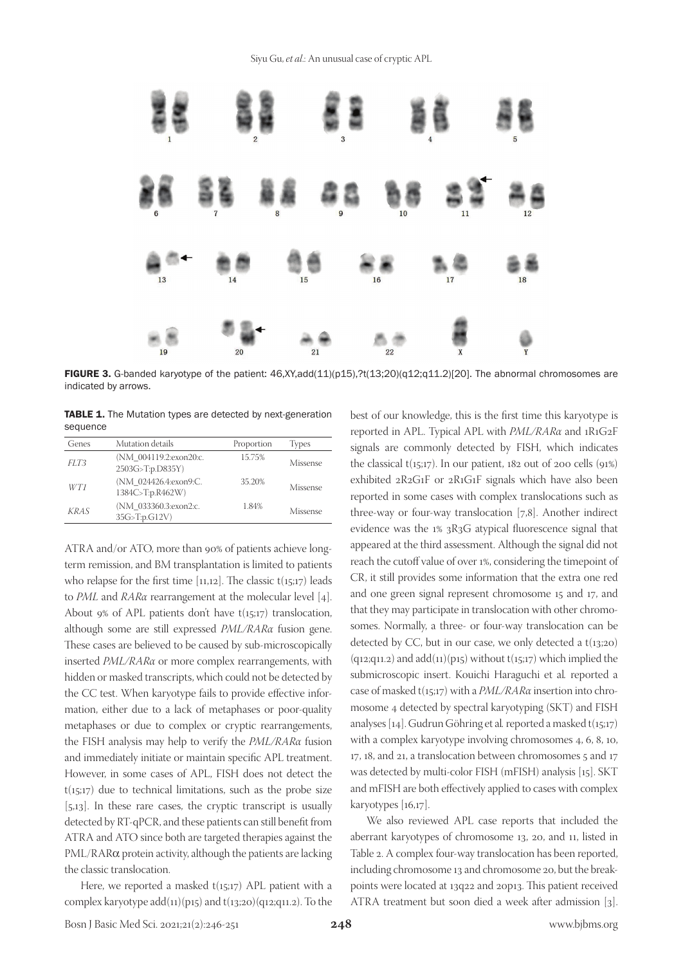

FIGURE 3. G-banded karyotype of the patient:  $46,XY,add(11)(p15),?t(13;20)(q12;q11.2)[20]$ . The abnormal chromosomes are indicated by arrows.

TABLE 1. The Mutation types are detected by next-generation sequence

| Genes       | Mutation details                           | Proportion | <b>Types</b> |
|-------------|--------------------------------------------|------------|--------------|
| FLT3        | (NM 004119.2:exon20:c.<br>2503G>T:p.D835Y) | 15.75%     | Missense     |
| WT1         | (NM 024426.4:exon9:C.<br>1384C>T:p.R462W)  | 35.20%     | Missense     |
| <b>KRAS</b> | (NM 033360.3:exon2:c.<br>35G>T:p.G12V)     | 1.84%      | Missense     |

ATRA and/or ATO, more than 90% of patients achieve longterm remission, and BM transplantation is limited to patients who relapse for the first time  $[11,12]$ . The classic  $t(15,17)$  leads to *PML* and *RARα* rearrangement at the molecular level [4]. About 9% of APL patients don't have  $t(15;17)$  translocation, although some are still expressed *PML/RARα* fusion gene. These cases are believed to be caused by sub-microscopically inserted *PML/RARα* or more complex rearrangements, with hidden or masked transcripts, which could not be detected by the CC test. When karyotype fails to provide effective information, either due to a lack of metaphases or poor-quality metaphases or due to complex or cryptic rearrangements, the FISH analysis may help to verify the *PML/RARα* fusion and immediately initiate or maintain specific APL treatment. However, in some cases of APL, FISH does not detect the  $t(15;17)$  due to technical limitations, such as the probe size [5,13]. In these rare cases, the cryptic transcript is usually detected by RT-qPCR, and these patients can still benefit from ATRA and ATO since both are targeted therapies against the PML/RARα protein activity, although the patients are lacking the classic translocation.

Here, we reported a masked  $t(15;17)$  APL patient with a complex karyotype add $(11)(p15)$  and  $t(13;20)(q12;q11.2)$ . To the best of our knowledge, this is the first time this karyotype is reported in APL. Typical APL with *PML/RARα* and 1R1G2F signals are commonly detected by FISH, which indicates the classical  $t(15;17)$ . In our patient, 182 out of 200 cells  $(91%)$ exhibited 2R2G1F or 2R1G1F signals which have also been reported in some cases with complex translocations such as three-way or four-way translocation [7,8]. Another indirect evidence was the 1% 3R3G atypical fluorescence signal that appeared at the third assessment. Although the signal did not reach the cutoff value of over 1%, considering the timepoint of CR, it still provides some information that the extra one red and one green signal represent chromosome 15 and 17, and that they may participate in translocation with other chromosomes. Normally, a three- or four-way translocation can be detected by CC, but in our case, we only detected a  $t(13;20)$  $(q_{12};q_{11.2})$  and add $(q_{11})(p_{15})$  without  $t(q_{5};q_{7})$  which implied the submicroscopic insert. Kouichi Haraguchi et al*.* reported a case of masked t(15;17) with a *PML/RARα* insertion into chromosome 4 detected by spectral karyotyping (SKT) and FISH analyses [14]. Gudrun Göhring et al*.* reported a masked t(15;17) with a complex karyotype involving chromosomes 4, 6, 8, 10, 17, 18, and 21, a translocation between chromosomes 5 and 17 was detected by multi-color FISH (mFISH) analysis [15]. SKT and mFISH are both effectively applied to cases with complex karyotypes [16,17].

We also reviewed APL case reports that included the aberrant karyotypes of chromosome 13, 20, and 11, listed in Table 2. A complex four-way translocation has been reported, including chromosome 13 and chromosome 20, but the breakpoints were located at 13q22 and 20p13. This patient received ATRA treatment but soon died a week after admission [3].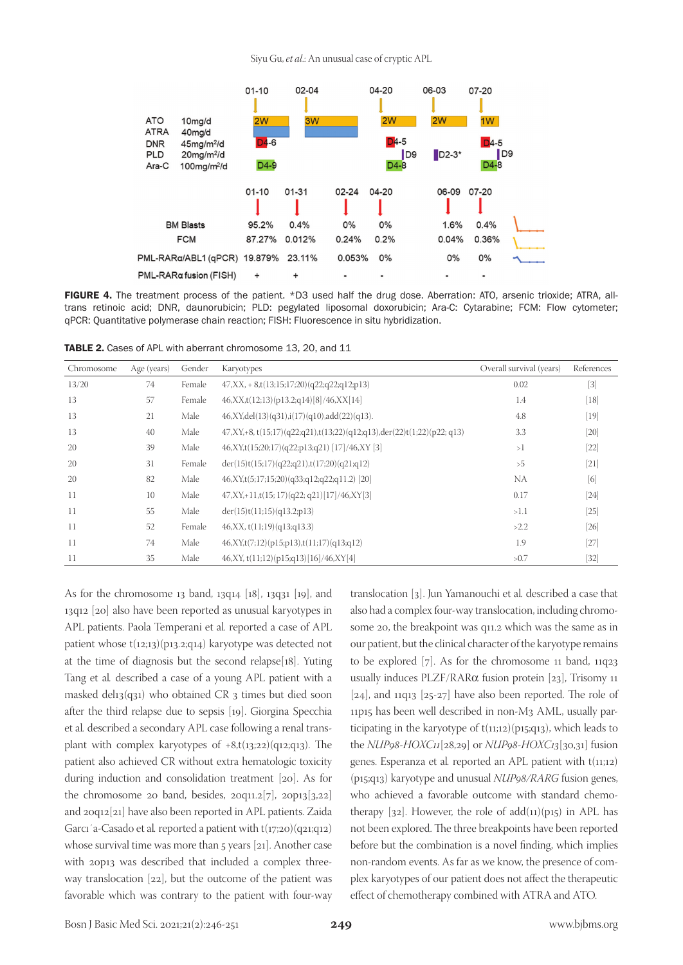Siyu Gu, *et al*.: An unusual case of cryptic APL



FIGURE 4. The treatment process of the patient. \*D3 used half the drug dose. Aberration: ATO, arsenic trioxide; ATRA, alltrans retinoic acid; DNR, daunorubicin; PLD: pegylated liposomal doxorubicin; Ara-C: Cytarabine; FCM: Flow cytometer; qPCR: Quantitative polymerase chain reaction; FISH: Fluorescence in situ hybridization.

TABLE 2. Cases of APL with aberrant chromosome 13, 20, and 11

| Chromosome | Age (years) | Gender | Karyotypes                                                                  | Overall survival (years) | References |
|------------|-------------|--------|-----------------------------------------------------------------------------|--------------------------|------------|
| 13/20      | 74          | Female | $47, XX, +8, t(13;15;17;20)$ $(q22;q22;q12;p13)$                            | 0.02                     | $[3]$      |
| 13         | 57          | Female | $46, XX, t(12;13)(p13.2;q14)[8]/46, XX[14]$                                 | 1.4                      | $[18]$     |
| 13         | 21          | Male   | $46, XY, del(13)(q31), i(17)(q10), add(22)(q13).$                           | 4.8                      | $[19]$     |
| 13         | 40          | Male   | $47, XY, +8, t(15;17)(q22;q21), t(13;22)(q12;q13), der(22)t(1;22)(p22;q13)$ | 3.3                      | [20]       |
| 20         | 39          | Male   | $46, XY, t(15;20;17)(q22;p13;q21)$ [17]/46,XY [3]                           | >1                       | $[22]$     |
| 20         | 31          | Female | der(15)t(15;17)(q22;q21),t(17;20)(q21;q12)                                  | >5                       | $[21]$     |
| 20         | 82          | Male   | $46, XY, t(5;17;15;20)$ $(q33; q12; q22; q11.2)$ [20]                       | NA                       | [6]        |
| 11         | 10          | Male   | $47, XY, +11, t(15; 17) (q22; q21) [17]/46, XY[3]$                          | 0.17                     | $[24]$     |
| 11         | 55          | Male   | der(15)t(11;15)(q13.2;p13)                                                  | >1.1                     | $[25]$     |
| 11         | 52          | Female | 46, XX, t(11;19)(q13;q13.3)                                                 | >2.2                     | $[26]$     |
| 11         | 74          | Male   | $46, XY, t(7,12)(p15,p13), t(11,17)(q13;q12)$                               | 1.9                      | $[27]$     |
| 11         | 35          | Male   | $46, XY, t(11;12)(p15;q13)[16]/46, XY[4]$                                   | >0.7                     | $[32]$     |

As for the chromosome 13 band, 13q14 [18], 13q31 [19], and 13q12 [20] also have been reported as unusual karyotypes in APL patients. Paola Temperani et al*.* reported a case of APL patient whose t(12;13)(p13.2;q14) karyotype was detected not at the time of diagnosis but the second relapse[18]. Yuting Tang et al*.* described a case of a young APL patient with a masked del $13(q31)$  who obtained CR 3 times but died soon after the third relapse due to sepsis [19]. Giorgina Specchia et al*.* described a secondary APL case following a renal transplant with complex karyotypes of  $+8$ ,t(13;22)(q12;q13). The patient also achieved CR without extra hematologic toxicity during induction and consolidation treatment [20]. As for the chromosome 20 band, besides,  $20q11.2[7]$ ,  $20p13[3,22]$ and 20q12[21] have also been reported in APL patients. Zaida Garcı´a-Casado et al. reported a patient with t(17;20)(q21;q12) whose survival time was more than 5 years [21]. Another case with 20p13 was described that included a complex threeway translocation [22], but the outcome of the patient was favorable which was contrary to the patient with four-way translocation [3]. Jun Yamanouchi et al*.* described a case that also had a complex four-way translocation, including chromosome 20, the breakpoint was q11.2 which was the same as in our patient, but the clinical character of the karyotype remains to be explored [7]. As for the chromosome 11 band, 11q23 usually induces PLZF/RARα fusion protein [23], Trisomy 11  $[24]$ , and 11q13  $[25-27]$  have also been reported. The role of 11p15 has been well described in non-M3 AML, usually participating in the karyotype of  $t(11;12)(p15;q13)$ , which leads to the *NUP98-HOXC11*[28,29] or *NUP98-HOXC13*[30,31] fusion genes. Esperanza et al*.* reported an APL patient with t(11;12) (p15;q13) karyotype and unusual *NUP98/RARG* fusion genes, who achieved a favorable outcome with standard chemotherapy  $[32]$ . However, the role of  $add(11)(p15)$  in APL has not been explored. The three breakpoints have been reported before but the combination is a novel finding, which implies non-random events. As far as we know, the presence of complex karyotypes of our patient does not affect the therapeutic effect of chemotherapy combined with ATRA and ATO.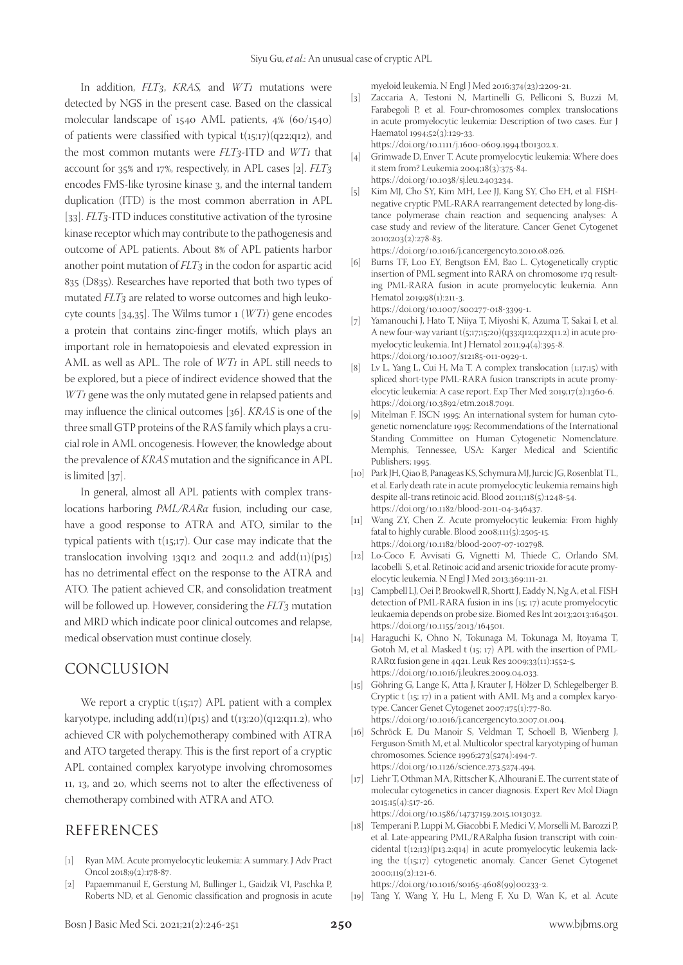In addition, *FLT3*, *KRAS,* and *WT1* mutations were detected by NGS in the present case. Based on the classical molecular landscape of 1540 AML patients, 4% (60/1540) of patients were classified with typical  $t(15;17)(q22;q12)$ , and the most common mutants were *FLT3*-ITD and *WT1* that account for 35% and 17%, respectively, in APL cases [2]. *FLT3*  encodes FMS-like tyrosine kinase 3, and the internal tandem duplication (ITD) is the most common aberration in APL [33]. *FLT*<sub>3</sub>-ITD induces constitutive activation of the tyrosine kinase receptor which may contribute to the pathogenesis and outcome of APL patients. About 8% of APL patients harbor another point mutation of *FLT3* in the codon for aspartic acid 835 (D835). Researches have reported that both two types of mutated *FLT3* are related to worse outcomes and high leukocyte counts [34,35]. The Wilms tumor 1 (*WT1*) gene encodes a protein that contains zinc-finger motifs, which plays an important role in hematopoiesis and elevated expression in AML as well as APL. The role of *WT1* in APL still needs to be explored, but a piece of indirect evidence showed that the *WT1* gene was the only mutated gene in relapsed patients and may influence the clinical outcomes [36]. *KRAS* is one of the three small GTP proteins of the RAS family which plays a crucial role in AML oncogenesis. However, the knowledge about the prevalence of *KRAS* mutation and the significance in APL is limited [37].

In general, almost all APL patients with complex translocations harboring *PML/RARα* fusion, including our case, have a good response to ATRA and ATO, similar to the typical patients with  $t(15;17)$ . Our case may indicate that the translocation involving 13q12 and 20q11.2 and add(11)(p15) has no detrimental effect on the response to the ATRA and ATO. The patient achieved CR, and consolidation treatment will be followed up. However, considering the *FLT3* mutation and MRD which indicate poor clinical outcomes and relapse, medical observation must continue closely.

#### CONCLUSION

We report a cryptic  $t(15;17)$  APL patient with a complex karyotype, including  $add(11)(p15)$  and  $t(13;20)(q12;q11.2)$ , who achieved CR with polychemotherapy combined with ATRA and ATO targeted therapy. This is the first report of a cryptic APL contained complex karyotype involving chromosomes 11, 13, and 20, which seems not to alter the effectiveness of chemotherapy combined with ATRA and ATO.

### REFERENCES

- [1] Ryan MM. Acute promyelocytic leukemia: A summary. J Adv Pract Oncol 2018;9(2):178-87.
- [2] Papaemmanuil E, Gerstung M, Bullinger L, Gaidzik VI, Paschka P, Roberts ND, et al. Genomic classification and prognosis in acute

myeloid leukemia. N Engl J Med 2016;374(23):2209-21.

[3] Zaccaria A, Testoni N, Martinelli G, Pelliconi S, Buzzi M, Farabegoli P, et al. Four-chromosomes complex translocations in acute promyelocytic leukemia: Description of two cases. Eur J Haematol 1994;52(3):129-33.

https://doi.org/10.1111/j.1600-0609.1994.tb01302.x.

- [4] Grimwade D, Enver T. Acute promyelocytic leukemia: Where does it stem from? Leukemia 2004;18(3):375-84. https://doi.org/10.1038/sj.leu.2403234.
- [5] Kim MJ, Cho SY, Kim MH, Lee JJ, Kang SY, Cho EH, et al. FISHnegative cryptic PML-RARA rearrangement detected by long-distance polymerase chain reaction and sequencing analyses: A case study and review of the literature. Cancer Genet Cytogenet 2010;203(2):278-83.

https://doi.org/10.1016/j.cancergencyto.2010.08.026.

- [6] Burns TF, Loo EY, Bengtson EM, Bao L. Cytogenetically cryptic insertion of PML segment into RARA on chromosome 17q resulting PML-RARA fusion in acute promyelocytic leukemia. Ann Hematol 2019;98(1):211-3. https://doi.org/10.1007/s00277-018-3399-1.
- [7] Yamanouchi J, Hato T, Niiya T, Miyoshi K, Azuma T, Sakai I, et al. A new four-way variant  $t(5;17;15;20)(q33;q12;q22;q11.2)$  in acute promyelocytic leukemia. Int J Hematol 2011;94(4):395-8. https://doi.org/10.1007/s12185-011-0929-1.
- [8] Lv L, Yang L, Cui H, Ma T. A complex translocation (1;17;15) with spliced short-type PML-RARA fusion transcripts in acute promyelocytic leukemia: A case report. Exp Ther Med 2019;17(2):1360-6. https://doi.org/10.3892/etm.2018.7091.
- [9] Mitelman F. ISCN 1995: An international system for human cytogenetic nomenclature 1995: Recommendations of the International Standing Committee on Human Cytogenetic Nomenclature. Memphis, Tennessee, USA: Karger Medical and Scientific Publishers; 1995.
- [10] Park JH, Qiao B, Panageas KS, Schymura MJ, Jurcic JG, Rosenblat TL, et al. Early death rate in acute promyelocytic leukemia remains high despite all-trans retinoic acid. Blood 2011;118(5):1248-54. https://doi.org/10.1182/blood-2011-04-346437.
- [11] Wang ZY, Chen Z. Acute promyelocytic leukemia: From highly fatal to highly curable. Blood 2008;111(5):2505-15. https://doi.org/10.1182/blood-2007-07-102798.
- [12] Lo-Coco F, Avvisati G, Vignetti M, Thiede C, Orlando SM, Iacobelli S, et al. Retinoic acid and arsenic trioxide for acute promyelocytic leukemia. N Engl J Med 2013;369:111-21.
- [13] Campbell LJ, Oei P, Brookwell R, Shortt J, Eaddy N, Ng A, et al. FISH detection of PML-RARA fusion in ins (15; 17) acute promyelocytic leukaemia depends on probe size. Biomed Res Int 2013;2013:164501. https://doi.org/10.1155/2013/164501.
- [14] Haraguchi K, Ohno N, Tokunaga M, Tokunaga M, Itoyama T, Gotoh M, et al. Masked t (15; 17) APL with the insertion of PML-RARα fusion gene in 4q21. Leuk Res 2009;33(11):1552-5. https://doi.org/10.1016/j.leukres.2009.04.033.
- [15] Göhring G, Lange K, Atta J, Krauter J, Hölzer D, Schlegelberger B. Cryptic t (15; 17) in a patient with AML M3 and a complex karyotype. Cancer Genet Cytogenet 2007;175(1):77-80. https://doi.org/10.1016/j.cancergencyto.2007.01.004.
- [16] Schröck E, Du Manoir S, Veldman T, Schoell B, Wienberg J, Ferguson-Smith M, et al. Multicolor spectral karyotyping of human chromosomes. Science 1996;273(5274):494-7. https://doi.org/10.1126/science.273.5274.494.
- [17] Liehr T, Othman MA, Rittscher K, Alhourani E. The current state of molecular cytogenetics in cancer diagnosis. Expert Rev Mol Diagn 2015;15(4):517-26.

https://doi.org/10.1586/14737159.2015.1013032.

[18] Temperani P, Luppi M, Giacobbi F, Medici V, Morselli M, Barozzi P, et al. Late-appearing PML/RARalpha fusion transcript with coincidental t(12;13)(p13.2;q14) in acute promyelocytic leukemia lacking the t(15;17) cytogenetic anomaly. Cancer Genet Cytogenet 2000;119(2):121-6.

https://doi.org/10.1016/s0165-4608(99)00233-2.

[19] Tang Y, Wang Y, Hu L, Meng F, Xu D, Wan K, et al. Acute